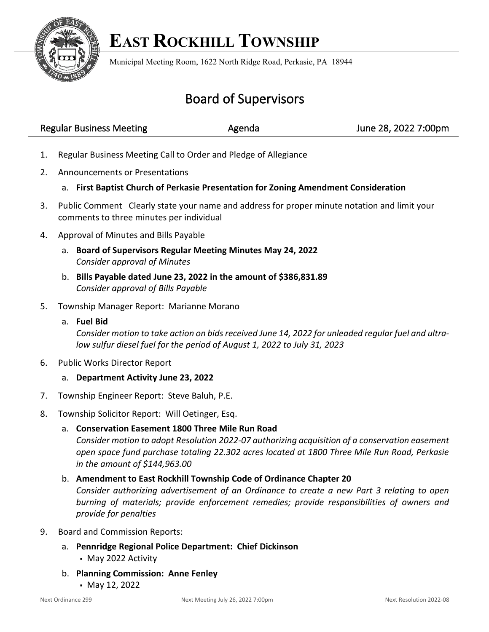

## **EAST ROCKHILL TOWNSHIP**

Municipal Meeting Room, 1622 North Ridge Road, Perkasie, PA 18944

## Board of Supervisors

| <b>Regular Business Meeting</b> | Agenda | June 28, 2022 7:00pm |
|---------------------------------|--------|----------------------|
|                                 |        |                      |

- 1. Regular Business Meeting Call to Order and Pledge of Allegiance
- 2. Announcements or Presentations
	- a. **First Baptist Church of Perkasie Presentation for Zoning Amendment Consideration**
- 3. Public Comment Clearly state your name and address for proper minute notation and limit your comments to three minutes per individual
- 4. Approval of Minutes and Bills Payable
	- a. **Board of Supervisors Regular Meeting Minutes May 24, 2022** *Consider approval of Minutes*
	- b. **Bills Payable dated June 23, 2022 in the amount of \$386,831.89** *Consider approval of Bills Payable*
- 5. Township Manager Report: Marianne Morano
	- a. **Fuel Bid**

*Consider motion to take action on bids received June 14, 2022 for unleaded regular fuel and ultralow sulfur diesel fuel for the period of August 1, 2022 to July 31, 2023*

- 6. Public Works Director Report
	- a. **Department Activity June 23, 2022**
- 7. Township Engineer Report: Steve Baluh, P.E.
- 8. Township Solicitor Report: Will Oetinger, Esq.
	- a. **Conservation Easement 1800 Three Mile Run Road**

*Consider motion to adopt Resolution 2022-07 authorizing acquisition of a conservation easement open space fund purchase totaling 22.302 acres located at 1800 Three Mile Run Road, Perkasie in the amount of \$144,963.00*

## b. **Amendment to East Rockhill Township Code of Ordinance Chapter 20**

*Consider authorizing advertisement of an Ordinance to create a new Part 3 relating to open burning of materials; provide enforcement remedies; provide responsibilities of owners and provide for penalties*

- 9. Board and Commission Reports:
	- a. **Pennridge Regional Police Department: Chief Dickinson** ▪ May 2022 Activity
	- b. **Planning Commission: Anne Fenley**
		- May 12, 2022